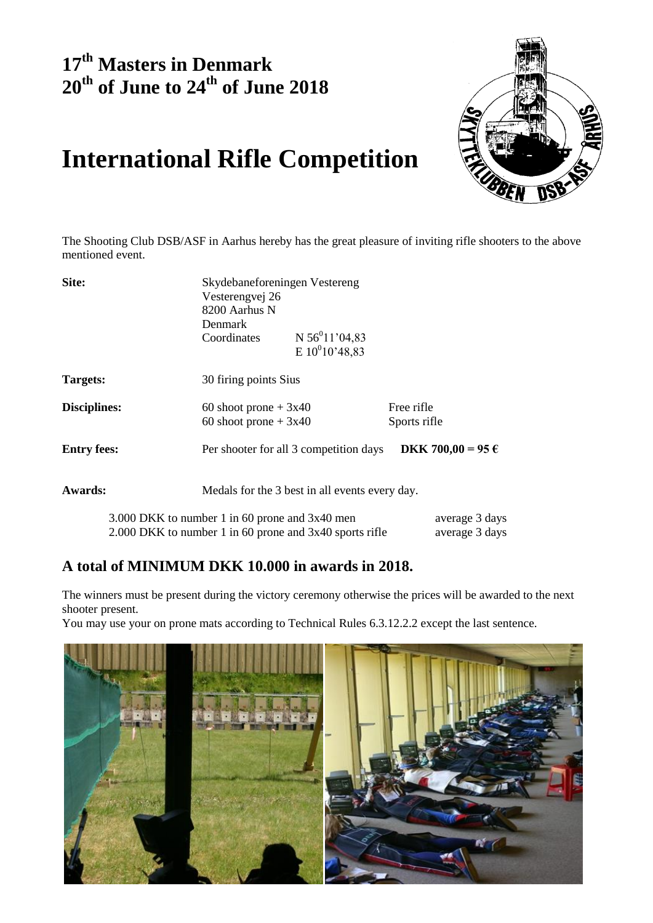### **17 th Masters in Denmark 20 th of June to 24 th of June 2018**



## **International Rifle Competition**

The Shooting Club DSB/ASF in Aarhus hereby has the great pleasure of inviting rifle shooters to the above mentioned event.

| Site:               |                                                         | Skydebaneforeningen Vestereng<br>Vesterengvej 26<br>8200 Aarhus N |                   |  |  |  |
|---------------------|---------------------------------------------------------|-------------------------------------------------------------------|-------------------|--|--|--|
|                     |                                                         |                                                                   |                   |  |  |  |
|                     |                                                         |                                                                   |                   |  |  |  |
|                     | <b>Denmark</b>                                          |                                                                   |                   |  |  |  |
|                     | Coordinates                                             | N $56^011'04,83$                                                  |                   |  |  |  |
|                     |                                                         | E $10^{0}10'$ 48,83                                               |                   |  |  |  |
| Targets:            |                                                         | 30 firing points Sius                                             |                   |  |  |  |
| <b>Disciplines:</b> | 60 shoot prone $+3x40$                                  |                                                                   | Free rifle        |  |  |  |
|                     | 60 shoot prone $+3x40$                                  |                                                                   | Sports rifle      |  |  |  |
| <b>Entry fees:</b>  |                                                         | Per shooter for all 3 competition days                            | DKK 700,00 = 95 € |  |  |  |
| <b>Awards:</b>      |                                                         | Medals for the 3 best in all events every day.                    |                   |  |  |  |
|                     | 3.000 DKK to number 1 in 60 prone and 3x40 men          |                                                                   | average 3 days    |  |  |  |
|                     | 2.000 DKK to number 1 in 60 prone and 3x40 sports rifle |                                                                   | average 3 days    |  |  |  |

### **A total of MINIMUM DKK 10.000 in awards in 2018.**

The winners must be present during the victory ceremony otherwise the prices will be awarded to the next shooter present.

You may use your on prone mats according to Technical Rules 6.3.12.2.2 except the last sentence.

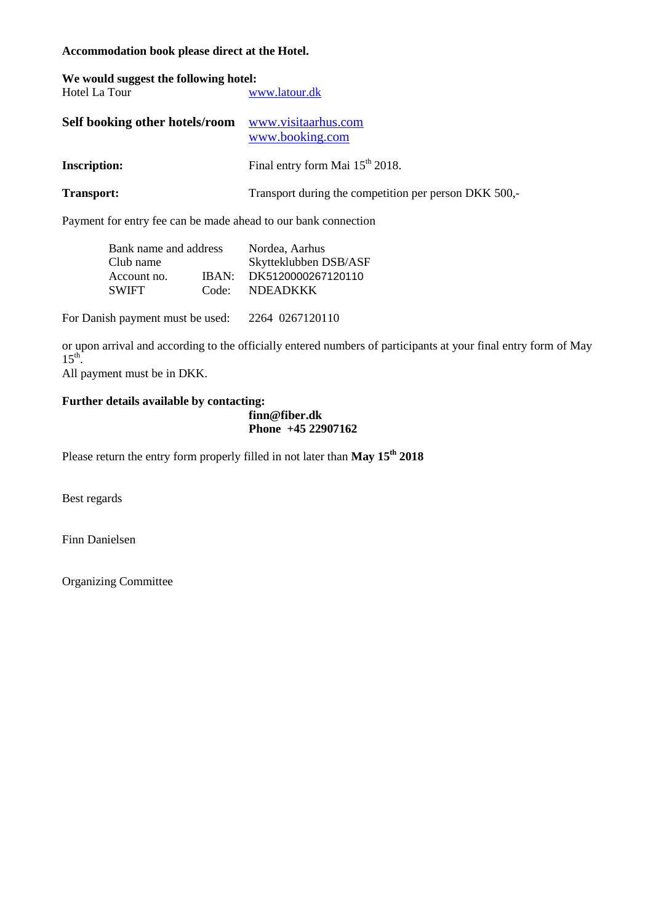**Accommodation book please direct at the Hotel.**

| We would suggest the following hotel:<br>Hotel La Tour | www.latour.dk                                         |
|--------------------------------------------------------|-------------------------------------------------------|
| Self booking other hotels/room                         | www.visitaarhus.com<br>www.booking.com                |
| <b>Inscription:</b>                                    | Final entry form Mai 15 <sup>th</sup> 2018.           |
| Transport:                                             | Transport during the competition per person DKK 500,- |

Payment for entry fee can be made ahead to our bank connection

| Bank name and address |       | Nordea, Aarhus        |  |
|-----------------------|-------|-----------------------|--|
| Club name             |       | Skytteklubben DSB/ASF |  |
| Account no.           | IBAN: | DK5120000267120110    |  |
| <b>SWIFT</b>          | Code: | <b>NDEADKKK</b>       |  |

For Danish payment must be used: 2264 0267120110

or upon arrival and according to the officially entered numbers of participants at your final entry form of May  $15^{\text{th}}$ .

All payment must be in DKK.

#### **Further details available by contacting:**

**finn@fiber.dk Phone +45 22907162**

Please return the entry form properly filled in not later than **May 15th 2018**

Best regards

Finn Danielsen

Organizing Committee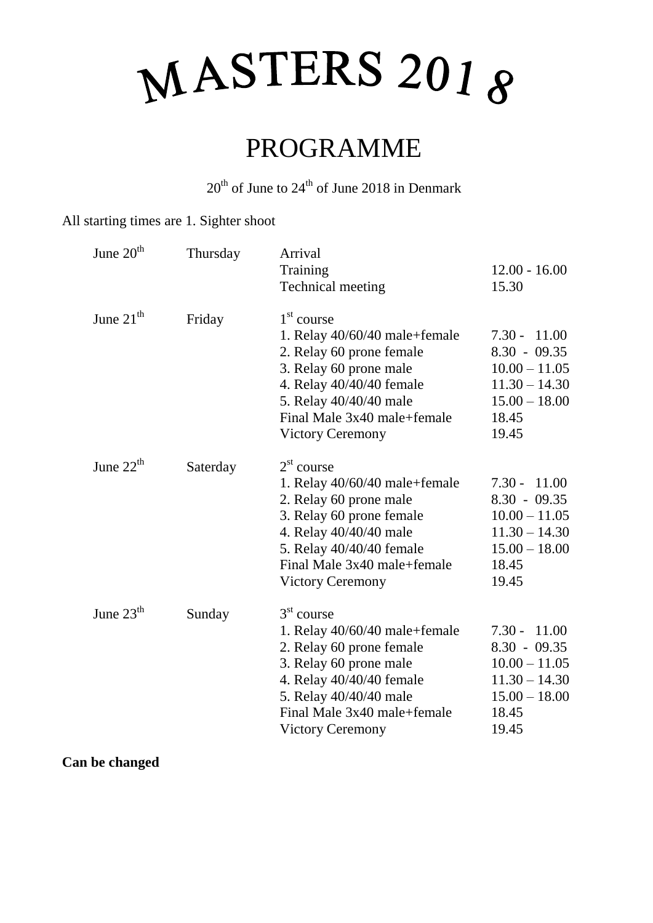## MASTERS 2018

## PROGRAMME

 $20<sup>th</sup>$  of June to  $24<sup>th</sup>$  of June 2018 in Denmark

### All starting times are 1. Sighter shoot

| June 20 <sup>th</sup> | Thursday | Arrival<br>Training<br><b>Technical meeting</b>                                                                                                                                                                                 | $12.00 - 16.00$<br>15.30                                                                                       |
|-----------------------|----------|---------------------------------------------------------------------------------------------------------------------------------------------------------------------------------------------------------------------------------|----------------------------------------------------------------------------------------------------------------|
| June $21th$           | Friday   | 1 <sup>st</sup> course<br>1. Relay 40/60/40 male+female<br>2. Relay 60 prone female<br>3. Relay 60 prone male<br>4. Relay 40/40/40 female<br>5. Relay 40/40/40 male<br>Final Male 3x40 male+female<br><b>Victory Ceremony</b>   | $7.30 - 11.00$<br>$8.30 - 09.35$<br>$10.00 - 11.05$<br>$11.30 - 14.30$<br>$15.00 - 18.00$<br>18.45<br>19.45    |
| June $22th$           | Saterday | 2 <sup>st</sup> course<br>1. Relay $40/60/40$ male+female<br>2. Relay 60 prone male<br>3. Relay 60 prone female<br>4. Relay 40/40/40 male<br>5. Relay 40/40/40 female<br>Final Male 3x40 male+female<br><b>Victory Ceremony</b> | $7.30 -$<br>11.00<br>$8.30 - 09.35$<br>$10.00 - 11.05$<br>$11.30 - 14.30$<br>$15.00 - 18.00$<br>18.45<br>19.45 |
| June $23th$           | Sunday   | 3 <sup>st</sup> course<br>1. Relay 40/60/40 male+female<br>2. Relay 60 prone female<br>3. Relay 60 prone male<br>4. Relay 40/40/40 female<br>5. Relay 40/40/40 male<br>Final Male 3x40 male+female<br><b>Victory Ceremony</b>   | $7.30 -$<br>11.00<br>$8.30 - 09.35$<br>$10.00 - 11.05$<br>$11.30 - 14.30$<br>$15.00 - 18.00$<br>18.45<br>19.45 |

**Can be changed**